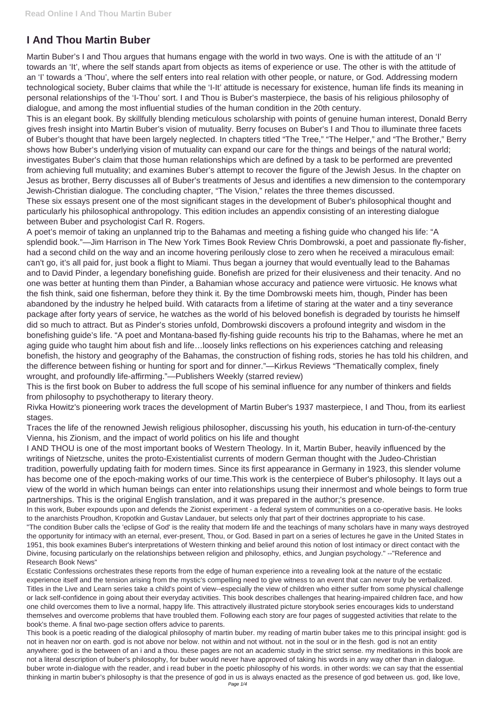## **I And Thou Martin Buber**

Martin Buber's I and Thou argues that humans engage with the world in two ways. One is with the attitude of an 'I' towards an 'It', where the self stands apart from objects as items of experience or use. The other is with the attitude of an 'I' towards a 'Thou', where the self enters into real relation with other people, or nature, or God. Addressing modern technological society, Buber claims that while the 'I-It' attitude is necessary for existence, human life finds its meaning in personal relationships of the 'I-Thou' sort. I and Thou is Buber's masterpiece, the basis of his religious philosophy of dialogue, and among the most influential studies of the human condition in the 20th century.

This is an elegant book. By skillfully blending meticulous scholarship with points of genuine human interest, Donald Berry gives fresh insight into Martin Buber's vision of mutuality. Berry focuses on Buber's I and Thou to illuminate three facets of Buber's thought that have been largely neglected. In chapters titled "The Tree," "The Helper," and "The Brother," Berry shows how Buber's underlying vision of mutuality can expand our care for the things and beings of the natural world; investigates Buber's claim that those human relationships which are defined by a task to be performed are prevented from achieving full mutuality; and examines Buber's attempt to recover the figure of the Jewish Jesus. In the chapter on Jesus as brother, Berry discusses all of Buber's treatments of Jesus and identifies a new dimension to the contemporary Jewish-Christian dialogue. The concluding chapter, "The Vision," relates the three themes discussed.

These six essays present one of the most significant stages in the development of Buber's philosophical thought and particularly his philosophical anthropology. This edition includes an appendix consisting of an interesting dialogue between Buber and psychologist Carl R. Rogers.

A poet's memoir of taking an unplanned trip to the Bahamas and meeting a fishing guide who changed his life: "A splendid book."—Jim Harrison in The New York Times Book Review Chris Dombrowski, a poet and passionate fly-fisher, had a second child on the way and an income hovering perilously close to zero when he received a miraculous email: can't go, it's all paid for, just book a flight to Miami. Thus began a journey that would eventually lead to the Bahamas and to David Pinder, a legendary bonefishing guide. Bonefish are prized for their elusiveness and their tenacity. And no one was better at hunting them than Pinder, a Bahamian whose accuracy and patience were virtuosic. He knows what the fish think, said one fisherman, before they think it. By the time Dombrowski meets him, though, Pinder has been abandoned by the industry he helped build. With cataracts from a lifetime of staring at the water and a tiny severance package after forty years of service, he watches as the world of his beloved bonefish is degraded by tourists he himself did so much to attract. But as Pinder's stories unfold, Dombrowski discovers a profound integrity and wisdom in the bonefishing guide's life. "A poet and Montana-based fly-fishing guide recounts his trip to the Bahamas, where he met an aging guide who taught him about fish and life…loosely links reflections on his experiences catching and releasing bonefish, the history and geography of the Bahamas, the construction of fishing rods, stories he has told his children, and the difference between fishing or hunting for sport and for dinner."—Kirkus Reviews "Thematically complex, finely wrought, and profoundly life-affirming."—Publishers Weekly (starred review)

This is the first book on Buber to address the full scope of his seminal influence for any number of thinkers and fields from philosophy to psychotherapy to literary theory.

Rivka Howitz's pioneering work traces the development of Martin Buber's 1937 masterpiece, I and Thou, from its earliest stages.

Traces the life of the renowned Jewish religious philosopher, discussing his youth, his education in turn-of-the-century Vienna, his Zionism, and the impact of world politics on his life and thought

I AND THOU is one of the most important books of Western Theology. In it, Martin Buber, heavily influenced by the writings of Nietzsche, unites the proto-Existentialist currents of modern German thought with the Judeo-Christian tradition, powerfully updating faith for modern times. Since its first appearance in Germany in 1923, this slender volume has become one of the epoch-making works of our time.This work is the centerpiece of Buber's philosophy. It lays out a view of the world in which human beings can enter into relationships usung their innermost and whole beings to form true partnerships. This is the original English translation, and it was prepared in the author;'s presence.

In this work, Buber expounds upon and defends the Zionist experiment - a federal system of communities on a co-operative basis. He looks to the anarchists Proudhon, Kropotkin and Gustav Landauer, but selects only that part of their doctrines appropriate to his case.

"The condition Buber calls the 'eclipse of God' is the reality that modern life and the teachings of many scholars have in many ways destroyed

the opportunity for intimacy with an eternal, ever-present, Thou, or God. Based in part on a series of lectures he gave in the United States in 1951, this book examines Buber's interpretations of Western thinking and belief around this notion of lost intimacy or direct contact with the Divine, focusing particularly on the relationships between religion and philosophy, ethics, and Jungian psychology." --"Reference and Research Book News"

Ecstatic Confessions orchestrates these reports from the edge of human experience into a revealing look at the nature of the ecstatic experience itself and the tension arising from the mystic's compelling need to give witness to an event that can never truly be verbalized. Titles in the Live and Learn series take a child's point of view--especially the view of children who either suffer from some physical challenge or lack self-confidence in going about their everyday activities. This book describes challenges that hearing-impaired children face, and how one child overcomes them to live a normal, happy life. This attractively illustrated picture storybook series encourages kids to understand themselves and overcome problems that have troubled them. Following each story are four pages of suggested activities that relate to the book's theme. A final two-page section offers advice to parents.

This book is a poetic reading of the dialogical philosophy of martin buber. my reading of martin buber takes me to this principal insight: god is not in heaven nor on earth. god is not above nor below. not within and not without. not in the soul or in the flesh. god is not an entity anywhere: god is the between of an i and a thou. these pages are not an academic study in the strict sense. my meditations in this book are not a literal description of buber's philosophy, for buber would never have approved of taking his words in any way other than in dialogue. buber wrote in-dialogue with the reader, and i read buber in the poetic philosophy of his words. in other words: we can say that the essential thinking in martin buber's philosophy is that the presence of god in us is always enacted as the presence of god between us. god, like love, Page 1/4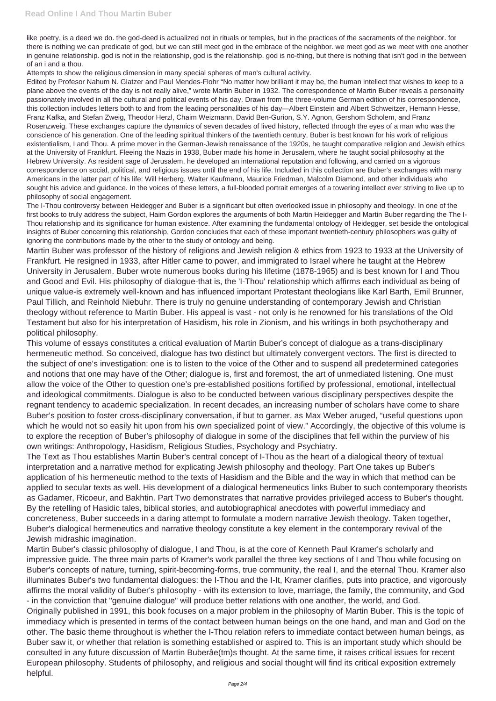like poetry, is a deed we do. the god-deed is actualized not in rituals or temples, but in the practices of the sacraments of the neighbor. for there is nothing we can predicate of god, but we can still meet god in the embrace of the neighbor. we meet god as we meet with one another in genuine relationship. god is not in the relationship, god is the relationship. god is no-thing, but there is nothing that isn't god in the between of an i and a thou.

Attempts to show the religious dimension in many special spheres of man's cultural activity.

Edited by Profesor Nahum N. Glatzer and Paul Mendes-Flohr "No matter how brilliant it may be, the human intellect that wishes to keep to a plane above the events of the day is not really alive," wrote Martin Buber in 1932. The correspondence of Martin Buber reveals a personality passionately involved in all the cultural and political events of his day. Drawn from the three-volume German edition of his correspondence, this collection includes letters both to and from the leading personalities of his day—Albert Einstein and Albert Schweitzer, Hemann Hesse, Franz Kafka, and Stefan Zweig, Theodor Herzl, Chaim Weizmann, David Ben-Gurion, S.Y. Agnon, Gershom Scholem, and Franz Rosenzweig. These exchanges capture the dynamics of seven decades of lived history, reflected through the eyes of a man who was the conscience of his generation. One of the leading spiritual thinkers of the twentieth century, Buber is best known for his work of religious existentialism, I and Thou. A prime mover in the German-Jewish renaissance of the 1920s, he taught comparative religion and Jewish ethics at the University of Frankfurt. Fleeing the Nazis in 1938, Buber made his home in Jerusalem, where he taught social philosophy at the Hebrew University. As resident sage of Jerusalem, he developed an international reputation and following, and carried on a vigorous correspondence on social, political, and religious issues until the end of his life. Included in this collection are Buber's exchanges with many Americans in the latter part of his life: Will Herberg, Walter Kaufmann, Maurice Friedman, Malcolm Diamond, and other individuals who sought his advice and guidance. In the voices of these letters, a full-blooded portrait emerges of a towering intellect ever striving to live up to philosophy of social engagement.

The I-Thou controversy between Heidegger and Buber is a significant but often overlooked issue in philosophy and theology. In one of the first books to truly address the subject, Haim Gordon explores the arguments of both Martin Heidegger and Martin Buber regarding the The I-Thou relationship and its significance for human existence. After examining the fundamental ontology of Heidegger, set beside the ontological insights of Buber concerning this relationship, Gordon concludes that each of these important twentieth-century philosophers was guilty of ignoring the contributions made by the other to the study of ontology and being.

Martin Buber was professor of the history of religions and Jewish religion & ethics from 1923 to 1933 at the University of Frankfurt. He resigned in 1933, after Hitler came to power, and immigrated to Israel where he taught at the Hebrew University in Jerusalem. Buber wrote numerous books during his lifetime (1878-1965) and is best known for I and Thou and Good and Evil. His philosophy of dialogue-that is, the 'I-Thou' relationship which affirms each individual as being of unique value-is extremely well-known and has influenced important Protestant theologians like Karl Barth, Emil Brunner, Paul Tillich, and Reinhold Niebuhr. There is truly no genuine understanding of contemporary Jewish and Christian theology without reference to Martin Buber. His appeal is vast - not only is he renowned for his translations of the Old Testament but also for his interpretation of Hasidism, his role in Zionism, and his writings in both psychotherapy and political philosophy.

This volume of essays constitutes a critical evaluation of Martin Buber's concept of dialogue as a trans-disciplinary hermeneutic method. So conceived, dialogue has two distinct but ultimately convergent vectors. The first is directed to the subject of one's investigation: one is to listen to the voice of the Other and to suspend all predetermined categories and notions that one may have of the Other; dialogue is, first and foremost, the art of unmediated listening. One must allow the voice of the Other to question one's pre-established positions fortified by professional, emotional, intellectual and ideological commitments. Dialogue is also to be conducted between various disciplinary perspectives despite the regnant tendency to academic specialization. In recent decades, an increasing number of scholars have come to share Buber's position to foster cross-disciplinary conversation, if but to garner, as Max Weber aruged, "useful questions upon which he would not so easily hit upon from his own specialized point of view." Accordingly, the objective of this volume is to explore the reception of Buber's philosophy of dialogue in some of the disciplines that fell within the purview of his own writings: Anthropology, Hasidism, Religious Studies, Psychology and Psychiatry.

The Text as Thou establishes Martin Buber's central concept of I-Thou as the heart of a dialogical theory of textual interpretation and a narrative method for explicating Jewish philosophy and theology. Part One takes up Buber's application of his hermeneutic method to the texts of Hasidism and the Bible and the way in which that method can be applied to secular texts as well. His development of a dialogical hermeneutics links Buber to such contemporary theorists as Gadamer, Ricoeur, and Bakhtin. Part Two demonstrates that narrative provides privileged access to Buber's thought. By the retelling of Hasidic tales, biblical stories, and autobiographical anecdotes with powerful immediacy and concreteness, Buber succeeds in a daring attempt to formulate a modern narrative Jewish theology. Taken together, Buber's dialogical hermeneutics and narrative theology constitute a key element in the contemporary revival of the Jewish midrashic imagination. Martin Buber's classic philosophy of dialogue, I and Thou, is at the core of Kenneth Paul Kramer's scholarly and impressive guide. The three main parts of Kramer's work parallel the three key sections of I and Thou while focusing on Buber's concepts of nature, turning, spirit-becoming-forms, true community, the real I, and the eternal Thou. Kramer also illuminates Buber's two fundamental dialogues: the I-Thou and the I-It, Kramer clarifies, puts into practice, and vigorously affirms the moral validity of Buber's philosophy - with its extension to love, marriage, the family, the community, and God - in the conviction that "genuine dialogue" will produce better relations with one another, the world, and God. Originally published in 1991, this book focuses on a major problem in the philosophy of Martin Buber. This is the topic of immediacy which is presented in terms of the contact between human beings on the one hand, and man and God on the other. The basic theme throughout is whether the I-Thou relation refers to immediate contact between human beings, as Buber saw it, or whether that relation is something established or aspired to. This is an important study which should be consulted in any future discussion of Martin Buberâe(tm)s thought. At the same time, it raises critical issues for recent European philosophy. Students of philosophy, and religious and social thought will find its critical exposition extremely helpful.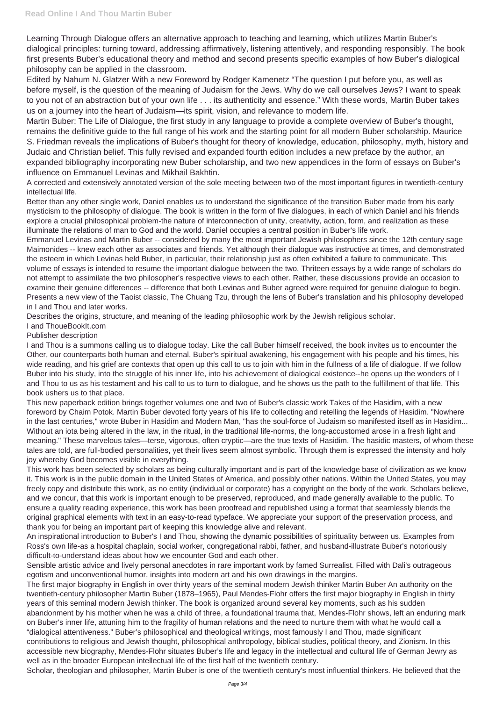Learning Through Dialogue offers an alternative approach to teaching and learning, which utilizes Martin Buber's dialogical principles: turning toward, addressing affirmatively, listening attentively, and responding responsibly. The book first presents Buber's educational theory and method and second presents specific examples of how Buber's dialogical philosophy can be applied in the classroom.

Edited by Nahum N. Glatzer With a new Foreword by Rodger Kamenetz "The question I put before you, as well as before myself, is the question of the meaning of Judaism for the Jews. Why do we call ourselves Jews? I want to speak to you not of an abstraction but of your own life . . . its authenticity and essence." With these words, Martin Buber takes us on a journey into the heart of Judaism—its spirit, vision, and relevance to modern life.

Martin Buber: The Life of Dialogue, the first study in any language to provide a complete overview of Buber's thought, remains the definitive guide to the full range of his work and the starting point for all modern Buber scholarship. Maurice S. Friedman reveals the implications of Buber's thought for theory of knowledge, education, philosophy, myth, history and Judaic and Christian belief. This fully revised and expanded fourth edition includes a new preface by the author, an expanded bibliography incorporating new Buber scholarship, and two new appendices in the form of essays on Buber's influence on Emmanuel Levinas and Mikhail Bakhtin.

A corrected and extensively annotated version of the sole meeting between two of the most important figures in twentieth-century intellectual life.

Better than any other single work, Daniel enables us to understand the significance of the transition Buber made from his early mysticism to the philosophy of dialogue. The book is written in the form of five dialogues, in each of which Daniel and his friends explore a crucial philosophical problem-the nature of interconnection of unity, creativity, action, form, and realization as these illuminate the relations of man to God and the world. Daniel occupies a central position in Buber's life work.

Emmanuel Levinas and Martin Buber -- considered by many the most important Jewish philosophers since the 12th century sage Maimonides -- knew each other as associates and friends. Yet although their dialogue was instructive at times, and demonstrated the esteem in which Levinas held Buber, in particular, their relationship just as often exhibited a failure to communicate. This volume of essays is intended to resume the important dialogue between the two. Thriteen essays by a wide range of scholars do not attempt to assimilate the two philosopher's respective views to each other. Rather, these discussions provide an occasion to examine their genuine differences -- difference that both Levinas and Buber agreed were required for genuine dialogue to begin. Presents a new view of the Taoist classic, The Chuang Tzu, through the lens of Buber's translation and his philosophy developed in I and Thou and later works.

Describes the origins, structure, and meaning of the leading philosophic work by the Jewish religious scholar.

## I and ThoueBookIt.com

## Publisher description

I and Thou is a summons calling us to dialogue today. Like the call Buber himself received, the book invites us to encounter the Other, our counterparts both human and eternal. Buber's spiritual awakening, his engagement with his people and his times, his wide reading, and his grief are contexts that open up this call to us to join with him in the fullness of a life of dialogue. If we follow Buber into his study, into the struggle of his inner life, into his achievement of dialogical existence--he opens up the wonders of I and Thou to us as his testament and his call to us to turn to dialogue, and he shows us the path to the fulfillment of that life. This book ushers us to that place.

This new paperback edition brings together volumes one and two of Buber's classic work Takes of the Hasidim, with a new foreword by Chaim Potok. Martin Buber devoted forty years of his life to collecting and retelling the legends of Hasidim. "Nowhere in the last centuries," wrote Buber in Hasidim and Modern Man, "has the soul-force of Judaism so manifested itself as in Hasidim... Without an iota being altered in the law, in the ritual, in the traditional life-norms, the long-accustomed arose in a fresh light and meaning." These marvelous tales—terse, vigorous, often cryptic—are the true texts of Hasidim. The hasidic masters, of whom these tales are told, are full-bodied personalities, yet their lives seem almost symbolic. Through them is expressed the intensity and holy joy whereby God becomes visible in everything.

This work has been selected by scholars as being culturally important and is part of the knowledge base of civilization as we know it. This work is in the public domain in the United States of America, and possibly other nations. Within the United States, you may freely copy and distribute this work, as no entity (individual or corporate) has a copyright on the body of the work. Scholars believe, and we concur, that this work is important enough to be preserved, reproduced, and made generally available to the public. To ensure a quality reading experience, this work has been proofread and republished using a format that seamlessly blends the original graphical elements with text in an easy-to-read typeface. We appreciate your support of the preservation process, and thank you for being an important part of keeping this knowledge alive and relevant. An inspirational introduction to Buber's I and Thou, showing the dynamic possibilities of spirituality between us. Examples from Ross's own life-as a hospital chaplain, social worker, congregational rabbi, father, and husband-illustrate Buber's notoriously difficult-to-understand ideas about how we encounter God and each other.

Sensible artistic advice and lively personal anecdotes in rare important work by famed Surrealist. Filled with Dali's outrageous egotism and unconventional humor, insights into modern art and his own drawings in the margins.

The first major biography in English in over thirty years of the seminal modern Jewish thinker Martin Buber An authority on the twentieth-century philosopher Martin Buber (1878–1965), Paul Mendes-Flohr offers the first major biography in English in thirty years of this seminal modern Jewish thinker. The book is organized around several key moments, such as his sudden abandonment by his mother when he was a child of three, a foundational trauma that, Mendes-Flohr shows, left an enduring mark on Buber's inner life, attuning him to the fragility of human relations and the need to nurture them with what he would call a "dialogical attentiveness." Buber's philosophical and theological writings, most famously I and Thou, made significant contributions to religious and Jewish thought, philosophical anthropology, biblical studies, political theory, and Zionism. In this accessible new biography, Mendes-Flohr situates Buber's life and legacy in the intellectual and cultural life of German Jewry as well as in the broader European intellectual life of the first half of the twentieth century.

Scholar, theologian and philosopher, Martin Buber is one of the twentieth century's most influential thinkers. He believed that the